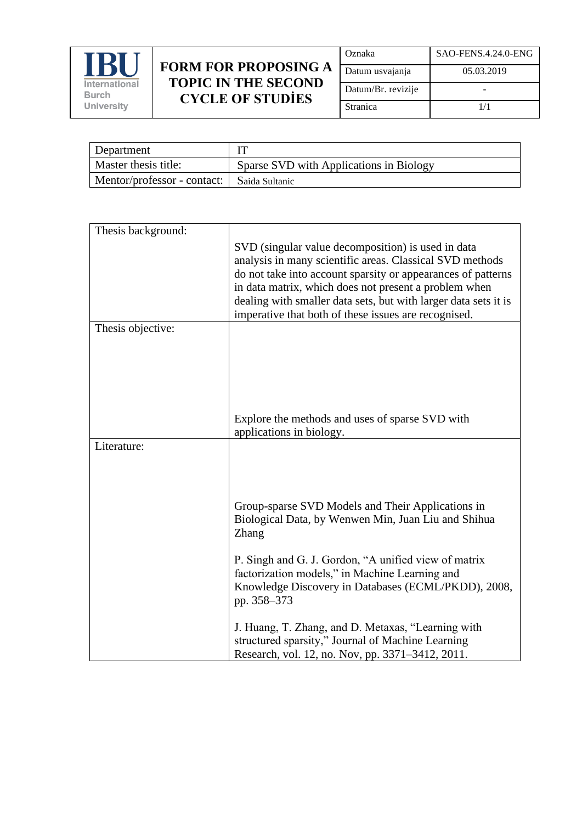

| Oznaka             | SAO-FENS.4.24.0-ENG |
|--------------------|---------------------|
| Datum usvajanja    | 05.03.2019          |
| Datum/Br. revizije |                     |
| Stranica           | 1/1                 |

| Department                  |                                         |
|-----------------------------|-----------------------------------------|
| Master thesis title:        | Sparse SVD with Applications in Biology |
| Mentor/professor - contact: | Saida Sultanic                          |

| Thesis background:                                                                                                      |  |
|-------------------------------------------------------------------------------------------------------------------------|--|
| SVD (singular value decomposition) is used in data                                                                      |  |
| analysis in many scientific areas. Classical SVD methods                                                                |  |
| do not take into account sparsity or appearances of patterns                                                            |  |
| in data matrix, which does not present a problem when                                                                   |  |
| dealing with smaller data sets, but with larger data sets it is<br>imperative that both of these issues are recognised. |  |
| Thesis objective:                                                                                                       |  |
|                                                                                                                         |  |
|                                                                                                                         |  |
|                                                                                                                         |  |
|                                                                                                                         |  |
|                                                                                                                         |  |
| Explore the methods and uses of sparse SVD with                                                                         |  |
| applications in biology.                                                                                                |  |
| Literature:                                                                                                             |  |
|                                                                                                                         |  |
|                                                                                                                         |  |
|                                                                                                                         |  |
| Group-sparse SVD Models and Their Applications in                                                                       |  |
| Biological Data, by Wenwen Min, Juan Liu and Shihua                                                                     |  |
| Zhang                                                                                                                   |  |
| P. Singh and G. J. Gordon, "A unified view of matrix                                                                    |  |
| factorization models," in Machine Learning and                                                                          |  |
| Knowledge Discovery in Databases (ECML/PKDD), 2008,                                                                     |  |
| pp. 358-373                                                                                                             |  |
|                                                                                                                         |  |
| J. Huang, T. Zhang, and D. Metaxas, "Learning with<br>structured sparsity," Journal of Machine Learning                 |  |
|                                                                                                                         |  |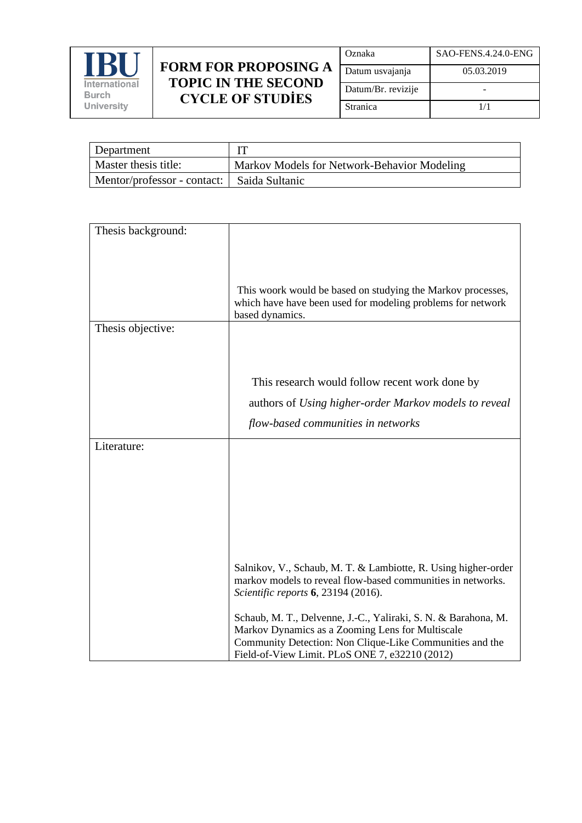

| Oznaka             | SAO-FENS.4.24.0-ENG |
|--------------------|---------------------|
| Datum usvajanja    | 05.03.2019          |
| Datum/Br. revizije |                     |
| Stranica           | 1/1                 |

| Department                  |                                             |
|-----------------------------|---------------------------------------------|
| Master thesis title:        | Markov Models for Network-Behavior Modeling |
| Mentor/professor - contact: | Saida Sultanic                              |

| Thesis background: |                                                                                                                                                                                                                                  |
|--------------------|----------------------------------------------------------------------------------------------------------------------------------------------------------------------------------------------------------------------------------|
|                    |                                                                                                                                                                                                                                  |
|                    | This woork would be based on studying the Markov processes,<br>which have have been used for modeling problems for network<br>based dynamics.                                                                                    |
| Thesis objective:  |                                                                                                                                                                                                                                  |
|                    |                                                                                                                                                                                                                                  |
|                    |                                                                                                                                                                                                                                  |
|                    | This research would follow recent work done by                                                                                                                                                                                   |
|                    | authors of Using higher-order Markov models to reveal                                                                                                                                                                            |
|                    | flow-based communities in networks                                                                                                                                                                                               |
| Literature:        |                                                                                                                                                                                                                                  |
|                    |                                                                                                                                                                                                                                  |
|                    |                                                                                                                                                                                                                                  |
|                    |                                                                                                                                                                                                                                  |
|                    |                                                                                                                                                                                                                                  |
|                    |                                                                                                                                                                                                                                  |
|                    | Salnikov, V., Schaub, M. T. & Lambiotte, R. Using higher-order<br>markov models to reveal flow-based communities in networks.<br>Scientific reports 6, 23194 (2016).                                                             |
|                    | Schaub, M. T., Delvenne, J.-C., Yaliraki, S. N. & Barahona, M.<br>Markov Dynamics as a Zooming Lens for Multiscale<br>Community Detection: Non Clique-Like Communities and the<br>Field-of-View Limit. PLoS ONE 7, e32210 (2012) |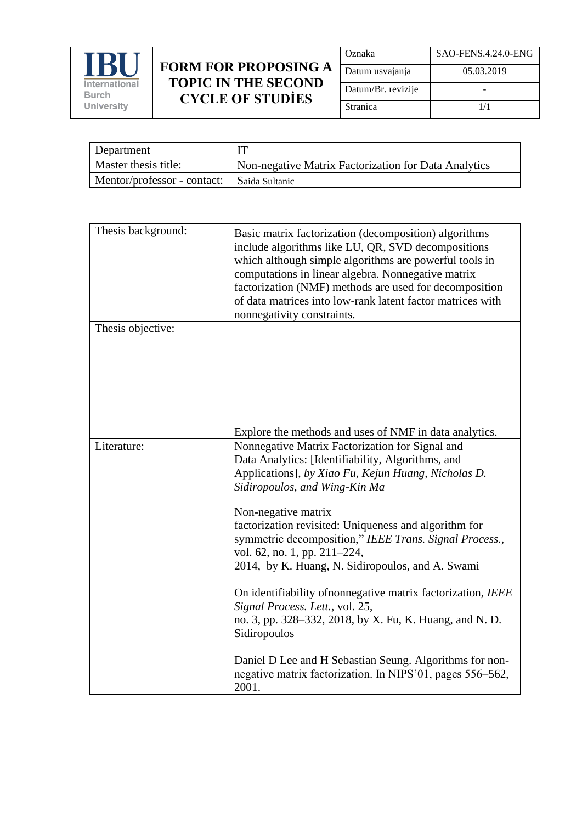

| Oznaka             | SAO-FENS.4.24.0-ENG |
|--------------------|---------------------|
| Datum usvajanja    | 05.03.2019          |
| Datum/Br. revizije |                     |
| Stranica           | 1/1                 |

| Department                                   |                                                      |
|----------------------------------------------|------------------------------------------------------|
| Master thesis title:                         | Non-negative Matrix Factorization for Data Analytics |
| Mentor/professor - contact:   Saida Sultanic |                                                      |

| Thesis background: | Basic matrix factorization (decomposition) algorithms<br>include algorithms like LU, QR, SVD decompositions<br>which although simple algorithms are powerful tools in<br>computations in linear algebra. Nonnegative matrix<br>factorization (NMF) methods are used for decomposition<br>of data matrices into low-rank latent factor matrices with<br>nonnegativity constraints.                                                                                                                                                                                                                                                                                                                                                                                                                   |
|--------------------|-----------------------------------------------------------------------------------------------------------------------------------------------------------------------------------------------------------------------------------------------------------------------------------------------------------------------------------------------------------------------------------------------------------------------------------------------------------------------------------------------------------------------------------------------------------------------------------------------------------------------------------------------------------------------------------------------------------------------------------------------------------------------------------------------------|
| Thesis objective:  |                                                                                                                                                                                                                                                                                                                                                                                                                                                                                                                                                                                                                                                                                                                                                                                                     |
| Literature:        | Explore the methods and uses of NMF in data analytics.<br>Nonnegative Matrix Factorization for Signal and<br>Data Analytics: [Identifiability, Algorithms, and<br>Applications], by Xiao Fu, Kejun Huang, Nicholas D.<br>Sidiropoulos, and Wing-Kin Ma<br>Non-negative matrix<br>factorization revisited: Uniqueness and algorithm for<br>symmetric decomposition," IEEE Trans. Signal Process.,<br>vol. 62, no. 1, pp. 211–224,<br>2014, by K. Huang, N. Sidiropoulos, and A. Swami<br>On identifiability of nonnegative matrix factorization, IEEE<br>Signal Process. Lett., vol. 25,<br>no. 3, pp. 328–332, 2018, by X. Fu, K. Huang, and N. D.<br>Sidiropoulos<br>Daniel D Lee and H Sebastian Seung. Algorithms for non-<br>negative matrix factorization. In NIPS'01, pages 556–562,<br>2001. |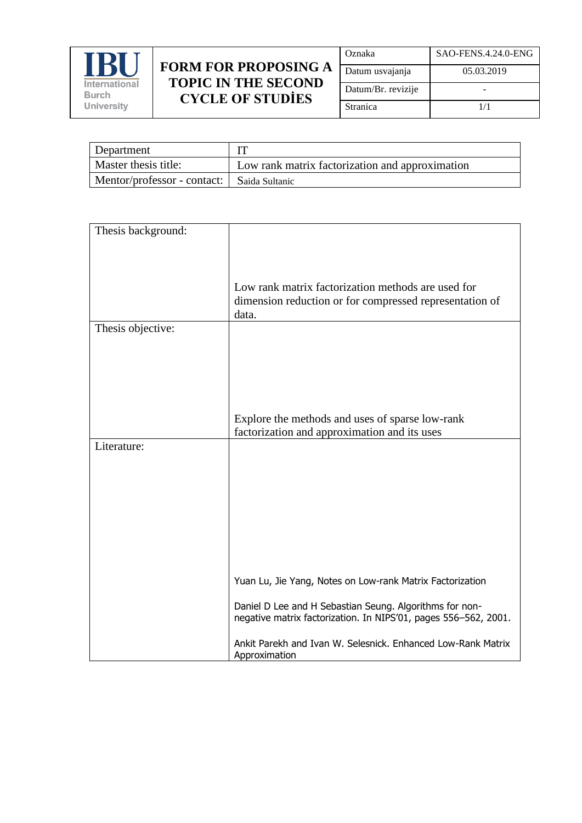

| Oznaka             | SAO-FENS.4.24.0-ENG |
|--------------------|---------------------|
| Datum usvajanja    | 05.03.2019          |
| Datum/Br. revizije |                     |
| Stranica           | 1/1                 |

| Department                                   |                                                 |
|----------------------------------------------|-------------------------------------------------|
| Master thesis title:                         | Low rank matrix factorization and approximation |
| Mentor/professor - contact:   Saida Sultanic |                                                 |

| Thesis background: |                                                                                                                            |
|--------------------|----------------------------------------------------------------------------------------------------------------------------|
|                    |                                                                                                                            |
|                    |                                                                                                                            |
|                    | Low rank matrix factorization methods are used for                                                                         |
|                    | dimension reduction or for compressed representation of                                                                    |
|                    | data.                                                                                                                      |
| Thesis objective:  |                                                                                                                            |
|                    |                                                                                                                            |
|                    |                                                                                                                            |
|                    |                                                                                                                            |
|                    |                                                                                                                            |
|                    | Explore the methods and uses of sparse low-rank                                                                            |
|                    | factorization and approximation and its uses                                                                               |
| Literature:        |                                                                                                                            |
|                    |                                                                                                                            |
|                    |                                                                                                                            |
|                    |                                                                                                                            |
|                    |                                                                                                                            |
|                    |                                                                                                                            |
|                    |                                                                                                                            |
|                    |                                                                                                                            |
|                    |                                                                                                                            |
|                    | Yuan Lu, Jie Yang, Notes on Low-rank Matrix Factorization                                                                  |
|                    | Daniel D Lee and H Sebastian Seung. Algorithms for non-<br>negative matrix factorization. In NIPS'01, pages 556-562, 2001. |
|                    | Ankit Parekh and Ivan W. Selesnick. Enhanced Low-Rank Matrix<br>Approximation                                              |